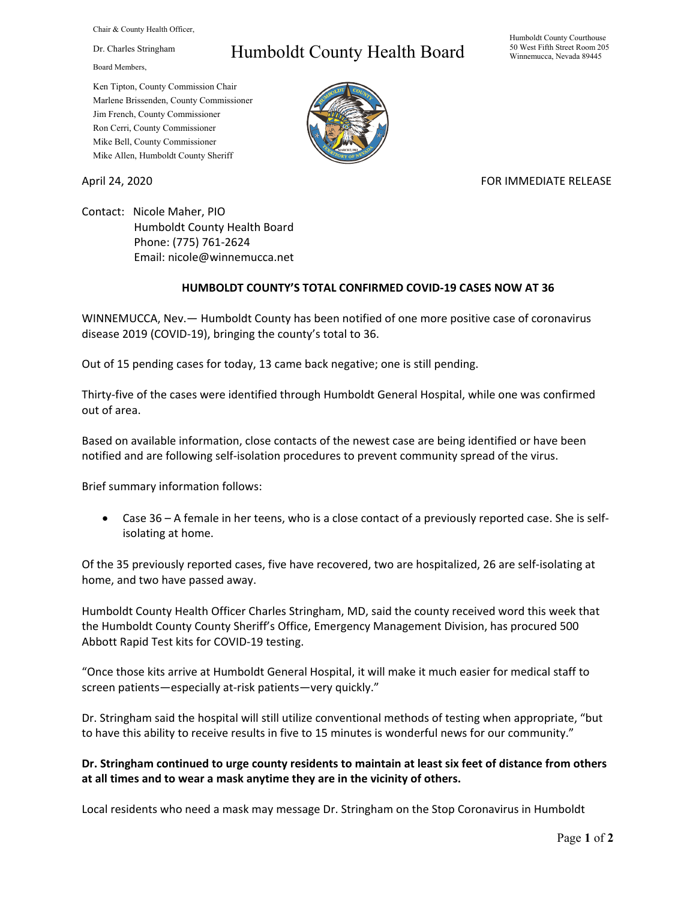Chair & County Health Officer,

Dr. Charles Stringham

Board Members,

## Humboldt County Health Board

Humboldt County Courthouse 50 West Fifth Street Room 205 Winnemucca, Nevada 89445

Ken Tipton, County Commission Chair Marlene Brissenden, County Commissioner Jim French, County Commissioner Ron Cerri, County Commissioner Mike Bell, County Commissioner Mike Allen, Humboldt County Sheriff

April 24, 2020 **FOR IMMEDIATE RELEASE** 

Contact: Nicole Maher, PIO Humboldt County Health Board Phone: (775) 761-2624 Email: nicole@winnemucca.net

## **HUMBOLDT COUNTY'S TOTAL CONFIRMED COVID-19 CASES NOW AT 36**

WINNEMUCCA, Nev.— Humboldt County has been notified of one more positive case of coronavirus disease 2019 (COVID-19), bringing the county's total to 36.

Out of 15 pending cases for today, 13 came back negative; one is still pending.

Thirty-five of the cases were identified through Humboldt General Hospital, while one was confirmed out of area.

Based on available information, close contacts of the newest case are being identified or have been notified and are following self-isolation procedures to prevent community spread of the virus.

Brief summary information follows:

• Case 36 – A female in her teens, who is a close contact of a previously reported case. She is selfisolating at home.

Of the 35 previously reported cases, five have recovered, two are hospitalized, 26 are self-isolating at home, and two have passed away.

Humboldt County Health Officer Charles Stringham, MD, said the county received word this week that the Humboldt County County Sheriff's Office, Emergency Management Division, has procured 500 Abbott Rapid Test kits for COVID-19 testing.

"Once those kits arrive at Humboldt General Hospital, it will make it much easier for medical staff to screen patients—especially at-risk patients—very quickly."

Dr. Stringham said the hospital will still utilize conventional methods of testing when appropriate, "but to have this ability to receive results in five to 15 minutes is wonderful news for our community."

## **Dr. Stringham continued to urge county residents to maintain at least six feet of distance from others at all times and to wear a mask anytime they are in the vicinity of others.**

Local residents who need a mask may message Dr. Stringham on the Stop Coronavirus in Humboldt